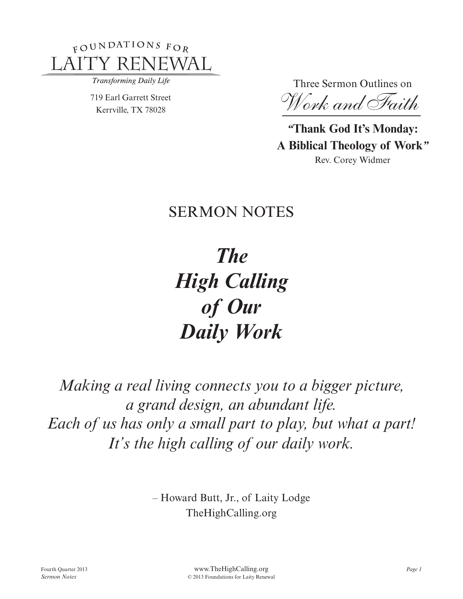

Transforming Daily Life

719 Earl Garrett Street Kerrville, TX 78028

Three Sermon Outlines on

 *Work and Faith*

*"***Thank God It's Monday: A Biblical Theology of Work***"* Rev. Corey Widmer

# **SERMON NOTES**

*The High Calling of Our Daily Work*

*Making a real living connects you to a bigger picture, a grand design, an abundant life. Each of us has only a small part to play, but what a part! It's the high calling of our daily work.*

> – Howard Butt, Jr., of Laity Lodge TheHighCalling.org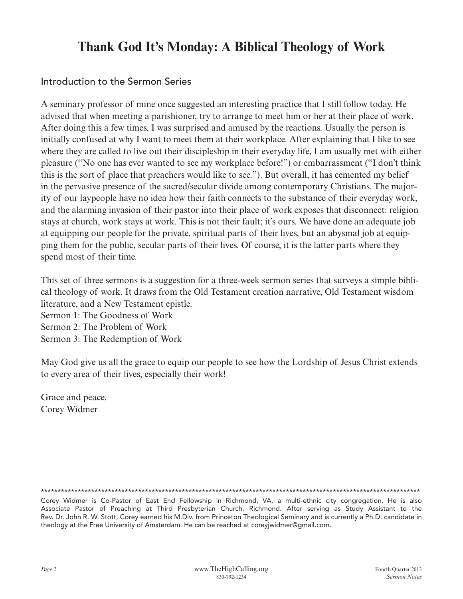# **Thank God It's Monday: A Biblical Theology of Work**

### Introduction to the Sermon Series

A seminary professor of mine once suggested an interesting practice that I still follow today. He advised that when meeting a parishioner, try to arrange to meet him or her at their place of work. After doing this a few times, I was surprised and amused by the reactions. Usually the person is initially confused at why I want to meet them at their workplace. After explaining that I like to see where they are called to live out their discipleship in their everyday life, I am usually met with either pleasure ("No one has ever wanted to see my workplace before!") or embarrassment ("I don't think this is the sort of place that preachers would like to see."). But overall, it has cemented my belief in the pervasive presence of the sacred/secular divide among contemporary Christians. The majority of our laypeople have no idea how their faith connects to the substance of their everyday work, and the alarming invasion of their pastor into their place of work exposes that disconnect: religion stays at church, work stays at work. This is not their fault; it's ours. We have done an adequate job at equipping our people for the private, spiritual parts of their lives, but an abysmal job at equipping them for the public, secular parts of their lives. Of course, it is the latter parts where they spend most of their time.

This set of three sermons is a suggestion for a three-week sermon series that surveys a simple biblical theology of work. It draws from the Old Testament creation narrative, Old Testament wisdom literature, and a New Testament epistle. Sermon 1: The Goodness of Work Sermon 2: The Problem of Work

Sermon 3: The Redemption of Work

May God give us all the grace to equip our people to see how the Lordship of Jesus Christ extends to every area of their lives, especially their work!

Grace and peace, Corey Widmer

\*\*\*\*\*\*\*\*\*\*\*\*\*\*\*\*\*\*\*\*\*\*\*\*\*\*\*\*\*\*\*\*\*\*\*\*\*\*\*\*\*\*\*\*\*\*\*\*\*\*\*\*\*\*\*\*\*\*\*\*\*\*\*\*\*\*\*\*\*\*\*\*\*\*\*\*\*\*\*\*\*\*\*\*\*\*\*\*\*\*\*\*\*\*\*\*\*\*\*\*\*\*\*\*\*\*\*\*\*\*\*\*\*

Corey Widmer is Co-Pastor of East End Fellowship in Richmond, VA, a multi-ethnic city congregation. He is also Associate Pastor of Preaching at Third Presbyterian Church, Richmond. After serving as Study Assistant to the Rev. Dr. John R. W. Stott, Corey earned his M.Div. from Princeton Theological Seminary and is currently a Ph.D. candidate in theology at the Free University of Amsterdam. He can be reached at coreyjwidmer@gmail.com.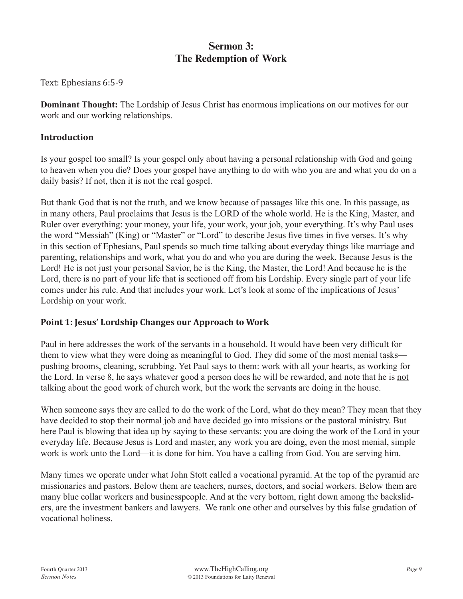### **Sermon 3: The Redemption of Work**

Text: Ephesians 6:5-9

**Dominant Thought:** The Lordship of Jesus Christ has enormous implications on our motives for our work and our working relationships.

#### **Introduction**

Is your gospel too small? Is your gospel only about having a personal relationship with God and going to heaven when you die? Does your gospel have anything to do with who you are and what you do on a daily basis? If not, then it is not the real gospel.

But thank God that is not the truth, and we know because of passages like this one. In this passage, as in many others, Paul proclaims that Jesus is the LORD of the whole world. He is the King, Master, and Ruler over everything: your money, your life, your work, your job, your everything. It's why Paul uses the word "Messiah" (King) or "Master" or "Lord" to describe Jesus five times in five verses. It's why in this section of Ephesians, Paul spends so much time talking about everyday things like marriage and parenting, relationships and work, what you do and who you are during the week. Because Jesus is the Lord! He is not just your personal Savior, he is the King, the Master, the Lord! And because he is the Lord, there is no part of your life that is sectioned off from his Lordship. Every single part of your life comes under his rule. And that includes your work. Let's look at some of the implications of Jesus' Lordship on your work.

#### **Point 1: Jesus' Lordship Changes our Approach to Work**

Paul in here addresses the work of the servants in a household. It would have been very difficult for them to view what they were doing as meaningful to God. They did some of the most menial tasks pushing brooms, cleaning, scrubbing. Yet Paul says to them: work with all your hearts, as working for the Lord. In verse 8, he says whatever good a person does he will be rewarded, and note that he is not talking about the good work of church work, but the work the servants are doing in the house.

When someone says they are called to do the work of the Lord, what do they mean? They mean that they have decided to stop their normal job and have decided go into missions or the pastoral ministry. But here Paul is blowing that idea up by saying to these servants: you are doing the work of the Lord in your everyday life. Because Jesus is Lord and master, any work you are doing, even the most menial, simple work is work unto the Lord—it is done for him. You have a calling from God. You are serving him.

Many times we operate under what John Stott called a vocational pyramid. At the top of the pyramid are missionaries and pastors. Below them are teachers, nurses, doctors, and social workers. Below them are many blue collar workers and businesspeople. And at the very bottom, right down among the backsliders, are the investment bankers and lawyers. We rank one other and ourselves by this false gradation of vocational holiness.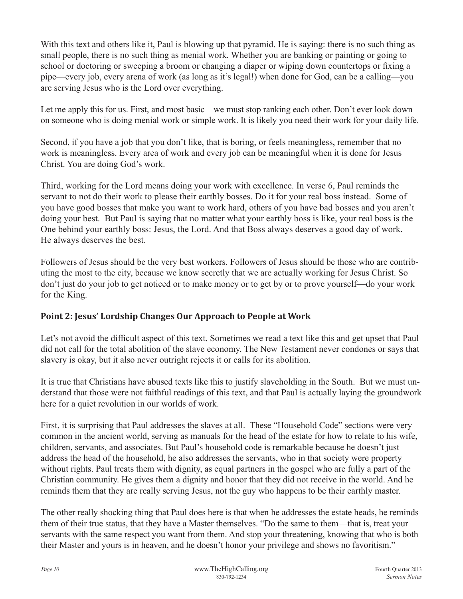With this text and others like it, Paul is blowing up that pyramid. He is saying: there is no such thing as small people, there is no such thing as menial work. Whether you are banking or painting or going to school or doctoring or sweeping a broom or changing a diaper or wiping down countertops or fixing a pipe—every job, every arena of work (as long as it's legal!) when done for God, can be a calling—you are serving Jesus who is the Lord over everything.

Let me apply this for us. First, and most basic—we must stop ranking each other. Don't ever look down on someone who is doing menial work or simple work. It is likely you need their work for your daily life.

Second, if you have a job that you don't like, that is boring, or feels meaningless, remember that no work is meaningless. Every area of work and every job can be meaningful when it is done for Jesus Christ. You are doing God's work.

Third, working for the Lord means doing your work with excellence. In verse 6, Paul reminds the servant to not do their work to please their earthly bosses. Do it for your real boss instead. Some of you have good bosses that make you want to work hard, others of you have bad bosses and you aren't doing your best. But Paul is saying that no matter what your earthly boss is like, your real boss is the One behind your earthly boss: Jesus, the Lord. And that Boss always deserves a good day of work. He always deserves the best.

Followers of Jesus should be the very best workers. Followers of Jesus should be those who are contributing the most to the city, because we know secretly that we are actually working for Jesus Christ. So don't just do your job to get noticed or to make money or to get by or to prove yourself—do your work for the King.

#### **Point 2: Jesus' Lordship Changes Our Approach to People at Work**

Let's not avoid the difficult aspect of this text. Sometimes we read a text like this and get upset that Paul did not call for the total abolition of the slave economy. The New Testament never condones or says that slavery is okay, but it also never outright rejects it or calls for its abolition.

It is true that Christians have abused texts like this to justify slaveholding in the South. But we must understand that those were not faithful readings of this text, and that Paul is actually laying the groundwork here for a quiet revolution in our worlds of work.

First, it is surprising that Paul addresses the slaves at all. These "Household Code" sections were very common in the ancient world, serving as manuals for the head of the estate for how to relate to his wife, children, servants, and associates. But Paul's household code is remarkable because he doesn't just address the head of the household, he also addresses the servants, who in that society were property without rights. Paul treats them with dignity, as equal partners in the gospel who are fully a part of the Christian community. He gives them a dignity and honor that they did not receive in the world. And he reminds them that they are really serving Jesus, not the guy who happens to be their earthly master.

The other really shocking thing that Paul does here is that when he addresses the estate heads, he reminds them of their true status, that they have a Master themselves. "Do the same to them—that is, treat your servants with the same respect you want from them. And stop your threatening, knowing that who is both their Master and yours is in heaven, and he doesn't honor your privilege and shows no favoritism."